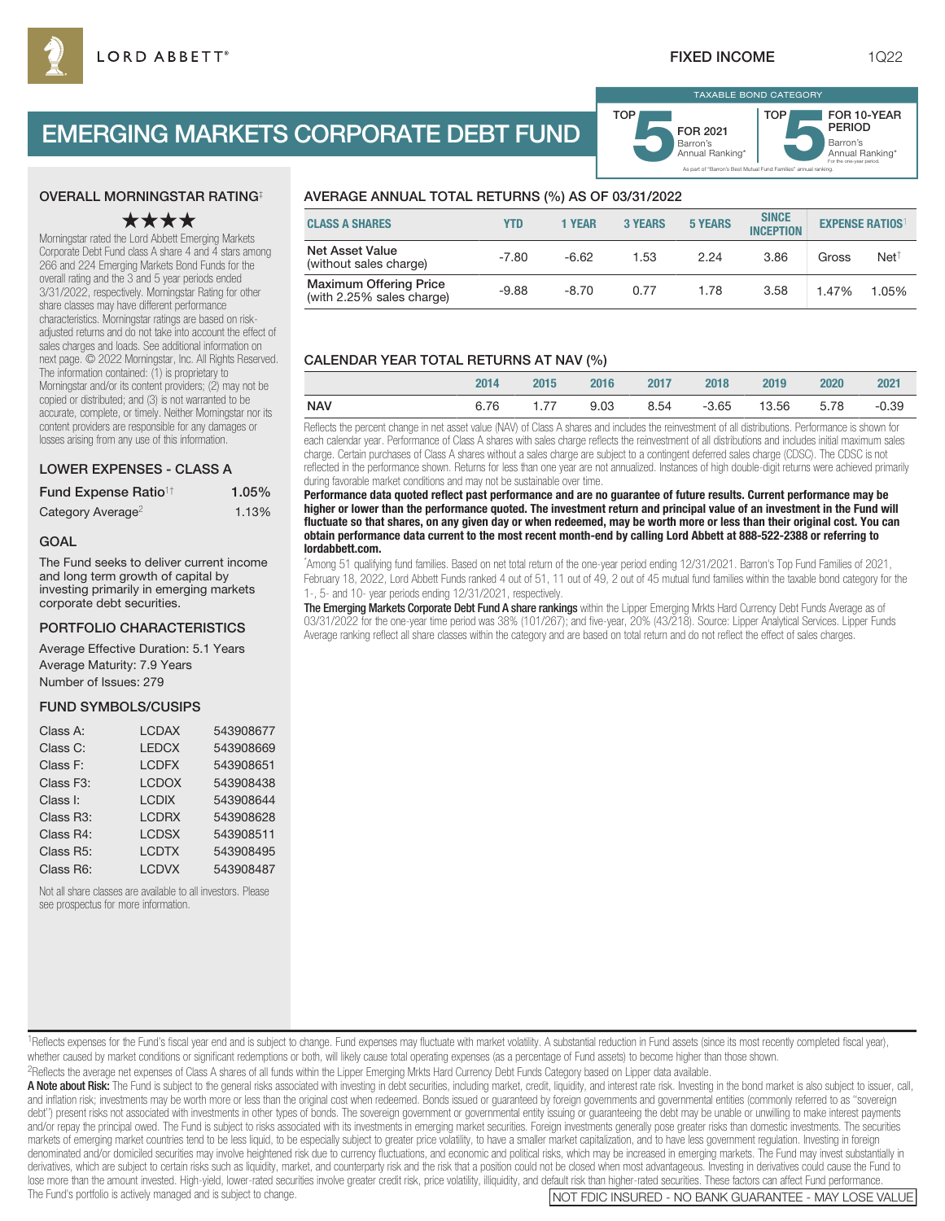# EMERGING MARKETS CORPORATE DEBT FUND



# OVERALL MORNINGSTAR RATING‡

# ★★★★

Morningstar rated the Lord Abbett Emerging Markets Corporate Debt Fund class A share 4 and 4 stars among 266 and 224 Emerging Markets Bond Funds for the overall rating and the 3 and 5 year periods ended 3/31/2022, respectively. Morningstar Rating for other share classes may have different performance characteristics. Morningstar ratings are based on riskadjusted returns and do not take into account the effect of sales charges and loads. See additional information on next page. © 2022 Morningstar, Inc. All Rights Reserved. The information contained: (1) is proprietary to Morningstar and/or its content providers; (2) may not be copied or distributed; and (3) is not warranted to be accurate, complete, or timely. Neither Morningstar nor its content providers are responsible for any damages or losses arising from any use of this information.

# LOWER EXPENSES - CLASS A

| Fund Expense Ratio <sup>1†</sup> | 1.05% |
|----------------------------------|-------|
| Category Average <sup>2</sup>    | 1.13% |

#### GOAL

The Fund seeks to deliver current income and long term growth of capital by investing primarily in emerging markets corporate debt securities.

### PORTFOLIO CHARACTERISTICS

Average Effective Duration: 5.1 Years Average Maturity: 7.9 Years Number of Issues: 279

#### FUND SYMBOLS/CUSIPS

| <b>LCDAX</b> | 543908677 |
|--------------|-----------|
| <b>LEDCX</b> | 543908669 |
| <b>LCDFX</b> | 543908651 |
| <b>LCDOX</b> | 543908438 |
| <b>LCDIX</b> | 543908644 |
| <b>LCDRX</b> | 543908628 |
| <b>LCDSX</b> | 543908511 |
| <b>LCDTX</b> | 543908495 |
| <b>LCDVX</b> | 543908487 |
|              |           |

Not all share classes are available to all investors. Please see prospectus for more information.

# AVERAGE ANNUAL TOTAL RETURNS (%) AS OF 03/31/2022

| <b>CLASS A SHARES</b>                                      | YTD     | 1 YEAR  | <b>3 YEARS</b> | <b>5 YEARS</b> | <b>SINCE</b><br><b>INCEPTION</b> | <b>EXPENSE RATIOS</b> |                  |
|------------------------------------------------------------|---------|---------|----------------|----------------|----------------------------------|-----------------------|------------------|
| <b>Net Asset Value</b><br>(without sales charge)           | $-7.80$ | $-6.62$ | 1.53           | 2.24           | 3.86                             | Gross                 | Net <sup>†</sup> |
| <b>Maximum Offering Price</b><br>(with 2.25% sales charge) | $-9.88$ | $-8.70$ | 0.77           | 1.78           | 3.58                             | 1.47%                 | 1.05%            |

# CALENDAR YEAR TOTAL RETURNS AT NAV (%)

|            | 2014 | 2015 | 2016 | 2017 | 2018 | 2019             | 2020 | 2021    |
|------------|------|------|------|------|------|------------------|------|---------|
| <b>NAV</b> | 6.76 | 1.77 | 9.03 | 8.54 |      | -3.65 13.56 5.78 |      | $-0.39$ |

Reflects the percent change in net asset value (NAV) of Class A shares and includes the reinvestment of all distributions. Performance is shown for each calendar year. Performance of Class A shares with sales charge reflects the reinvestment of all distributions and includes initial maximum sales charge. Certain purchases of Class A shares without a sales charge are subject to a contingent deferred sales charge (CDSC). The CDSC is not reflected in the performance shown. Returns for less than one year are not annualized. Instances of high double-digit returns were achieved primarily during favorable market conditions and may not be sustainable over time.

**Performance data quoted reflect past performance and are no guarantee of future results. Current performance may be higher or lower than the performance quoted. The investment return and principal value of an investment in the Fund will fluctuate so that shares, on any given day or when redeemed, may be worth more or less than their original cost. You can obtain performance data current to the most recent month-end by calling Lord Abbett at 888-522-2388 or referring to lordabbett.com.**

\* Among 51 qualifying fund families. Based on net total return of the one-year period ending 12/31/2021. Barron's Top Fund Families of 2021, February 18, 2022, Lord Abbett Funds ranked 4 out of 51, 11 out of 49, 2 out of 45 mutual fund families within the taxable bond category for the 1-, 5- and 10- year periods ending 12/31/2021, respectively.

The Emerging Markets Corporate Debt Fund A share rankings within the Lipper Emerging Mrkts Hard Currency Debt Funds Average as of 03/31/2022 for the one-year time period was 38% (101/267); and five-year, 20% (43/218). Source: Lipper Analytical Services. Lipper Funds Average ranking reflect all share classes within the category and are based on total return and do not reflect the effect of sales charges.

<sup>1</sup>Reflects expenses for the Fund's fiscal year end and is subject to change. Fund expenses may fluctuate with market volatility. A substantial reduction in Fund assets (since its most recently completed fiscal year), whether caused by market conditions or significant redemptions or both, will likely cause total operating expenses (as a percentage of Fund assets) to become higher than those shown.

2Reflects the average net expenses of Class A shares of all funds within the Lipper Emerging Mrkts Hard Currency Debt Funds Category based on Lipper data available.

A Note about Risk: The Fund is subject to the general risks associated with investing in debt securities, including market, credit, liquidity, and interest rate risk. Investing in the bond market is also subject to issuer, and inflation risk; investments may be worth more or less than the original cost when redeemed. Bonds issued or guaranteed by foreign governments and governmental entities (commonly referred to as "sovereign debt") present risks not associated with investments in other types of bonds. The sovereign government or governmental entity issuing or guaranteeing the debt may be unable or unwilling to make interest payments and/or repay the principal owed. The Fund is subject to risks associated with its investments in emerging market securities. Foreign investments generally pose greater risks than domestic investments. The securities markets of emerging market countries tend to be less liquid, to be especially subject to greater price volatility, to have a smaller market capitalization, and to have less government regulation, Investing in foreign denominated and/or domiciled securities may involve heightened risk due to currency fluctuations, and economic and political risks, which may be increased in emerging markets. The Fund may invest substantially in derivatives, which are subject to certain risks such as liquidity, market, and counterparty risk and the risk that a position could not be closed when most advantageous. Investing in derivatives could cause the Fund to lose more than the amount invested. High-yield, lower-rated securities involve greater credit risk, price volatility, illiquidity, and default risk than higher-rated securities. These factors can affect Fund performance.<br>T

NOT FDIC INSURED - NO BANK GUARANTEE - MAY LOSE VALUE